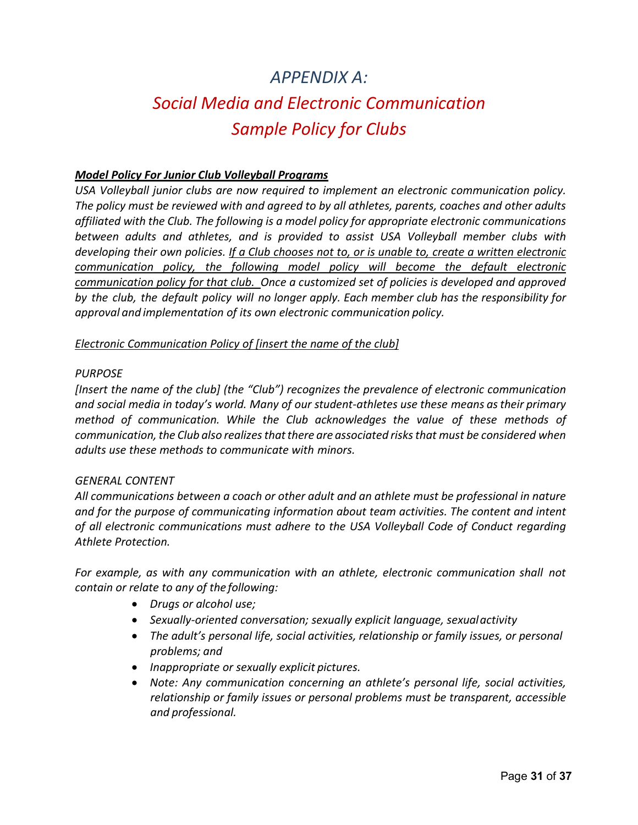# *APPENDIX A: Social Media and Electronic Communication Sample Policy for Clubs*

# *Model Policy For Junior Club Volleyball Programs*

*USA Volleyball junior clubs are now required to implement an electronic communication policy. The policy must be reviewed with and agreed to by all athletes, parents, coaches and other adults affiliated with the Club. The following is a model policy for appropriate electronic communications between adults and athletes, and is provided to assist USA Volleyball member clubs with developing their own policies. If a Club chooses not to, or is unable to, create a written electronic communication policy, the following model policy will become the default electronic communication policy for that club. Once a customized set of policies is developed and approved by the club, the default policy will no longer apply. Each member club has the responsibility for approval and implementation of its own electronic communication policy.*

#### *Electronic Communication Policy of [insert the name of the club]*

#### *PURPOSE*

*[Insert the name of the club] (the "Club") recognizes the prevalence of electronic communication and social media in today's world. Many of our student-athletes use these means astheir primary method of communication. While the Club acknowledges the value of these methods of communication, the Club also realizesthatthere are associated risks that must be considered when adults use these methods to communicate with minors.*

#### *GENERAL CONTENT*

*All communications between a coach or other adult and an athlete must be professional in nature and for the purpose of communicating information about team activities. The content and intent of all electronic communications must adhere to the USA Volleyball Code of Conduct regarding Athlete Protection.*

*For example, as with any communication with an athlete, electronic communication shall not contain or relate to any of the following:*

- *Drugs or alcohol use;*
- *Sexually-oriented conversation; sexually explicit language, sexualactivity*
- *The adult's personal life, social activities, relationship or family issues, or personal problems; and*
- *Inappropriate or sexually explicit pictures.*
- *Note: Any communication concerning an athlete's personal life, social activities, relationship or family issues or personal problems must be transparent, accessible and professional.*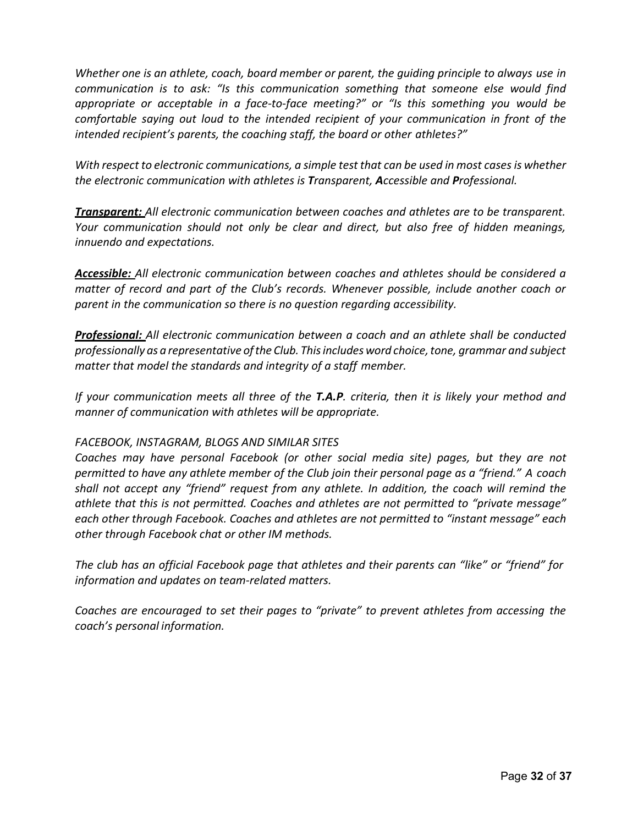*Whether one is an athlete, coach, board member or parent, the guiding principle to always use in communication is to ask: "Is this communication something that someone else would find appropriate or acceptable in a face-to-face meeting?" or "Is this something you would be comfortable saying out loud to the intended recipient of your communication in front of the intended recipient's parents, the coaching staff, the board or other athletes?"*

*With respect to electronic communications, a simple test that can be used in most cases is whether the electronic communication with athletes is Transparent, Accessible and Professional.*

*Transparent: All electronic communication between coaches and athletes are to be transparent. Your communication should not only be clear and direct, but also free of hidden meanings, innuendo and expectations.*

*Accessible: All electronic communication between coaches and athletes should be considered a matter of record and part of the Club's records. Whenever possible, include another coach or parent in the communication so there is no question regarding accessibility.*

*Professional: All electronic communication between a coach and an athlete shall be conducted professionally as a representative ofthe Club. Thisincludes word choice,tone, grammar and subject matter that model the standards and integrity of a staff member.*

*If your communication meets all three of the T.A.P. criteria, then it is likely your method and manner of communication with athletes will be appropriate.*

# *FACEBOOK, INSTAGRAM, BLOGS AND SIMILAR SITES*

*Coaches may have personal Facebook (or other social media site) pages, but they are not permitted to have any athlete member of the Club join their personal page as a "friend." A coach shall not accept any "friend" request from any athlete. In addition, the coach will remind the athlete that this is not permitted. Coaches and athletes are not permitted to "private message" each other through Facebook. Coaches and athletes are not permitted to "instant message" each other through Facebook chat or other IM methods.*

*The club has an official Facebook page that athletes and their parents can "like" or "friend" for information and updates on team-related matters.*

*Coaches are encouraged to set their pages to "private" to prevent athletes from accessing the coach's personal information.*